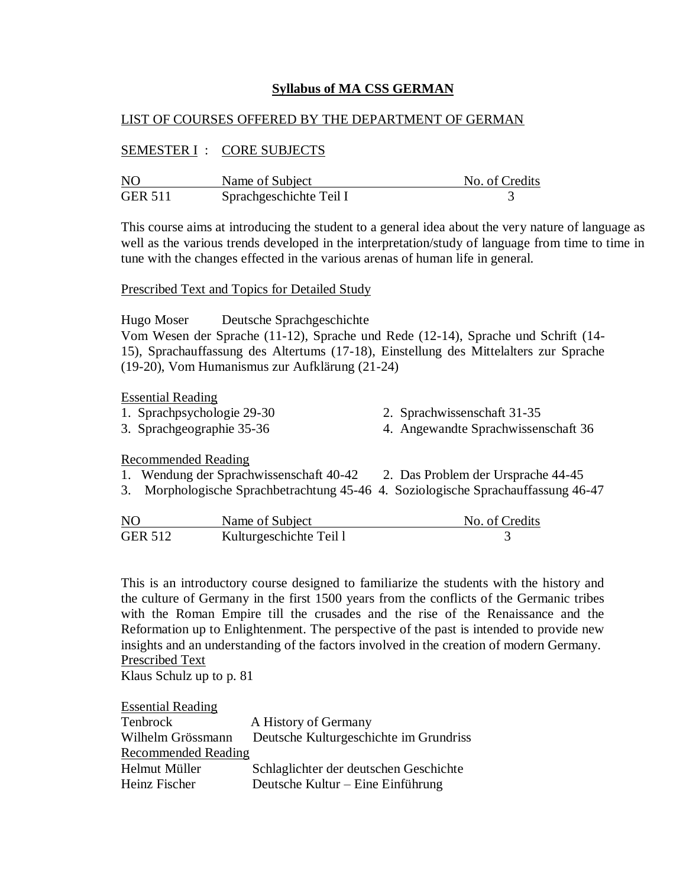# **Syllabus of MA CSS GERMAN**

# LIST OF COURSES OFFERED BY THE DEPARTMENT OF GERMAN

## SEMESTER I : CORE SUBJECTS

| N <sub>O</sub> | Name of Subject         | No. of Credits |
|----------------|-------------------------|----------------|
| <b>GER 511</b> | Sprachgeschichte Teil I |                |

This course aims at introducing the student to a general idea about the very nature of language as well as the various trends developed in the interpretation/study of language from time to time in tune with the changes effected in the various arenas of human life in general.

#### Prescribed Text and Topics for Detailed Study

Hugo Moser Deutsche Sprachgeschichte Vom Wesen der Sprache (11-12), Sprache und Rede (12-14), Sprache und Schrift (14- 15), Sprachauffassung des Altertums (17-18), Einstellung des Mittelalters zur Sprache (19-20), Vom Humanismus zur Aufklärung (21-24)

#### Essential Reading

1. Sprachpsychologie 29-30 2. Sprachwissenschaft 31-35 3. Sprachgeographie 35-36 4. Angewandte Sprachwissenschaft 36

## Recommended Reading

- 1. Wendung der Sprachwissenschaft 40-42 2. Das Problem der Ursprache 44-45
- 3. Morphologische Sprachbetrachtung 45-46 4. Soziologische Sprachauffassung 46-47

| N <sub>O</sub> | Name of Subject         | No. of Credits |
|----------------|-------------------------|----------------|
| <b>GER 512</b> | Kulturgeschichte Teil l |                |

This is an introductory course designed to familiarize the students with the history and the culture of Germany in the first 1500 years from the conflicts of the Germanic tribes with the Roman Empire till the crusades and the rise of the Renaissance and the Reformation up to Enlightenment. The perspective of the past is intended to provide new insights and an understanding of the factors involved in the creation of modern Germany. Prescribed Text

Klaus Schulz up to p. 81

| <b>Essential Reading</b>   |                                        |
|----------------------------|----------------------------------------|
| Tenbrock                   | A History of Germany                   |
| Wilhelm Grössmann          | Deutsche Kulturgeschichte im Grundriss |
| <b>Recommended Reading</b> |                                        |
| Helmut Müller              | Schlaglichter der deutschen Geschichte |
| Heinz Fischer              | Deutsche Kultur – Eine Einführung      |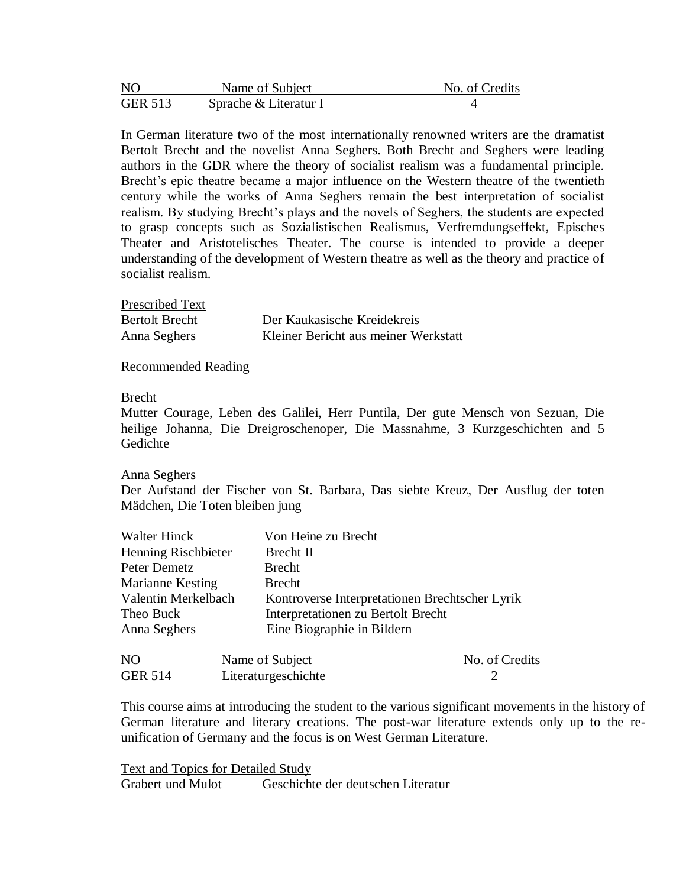| NO             | Name of Subject       | No. of Credits |
|----------------|-----------------------|----------------|
| <b>GER 513</b> | Sprache & Literatur I |                |

In German literature two of the most internationally renowned writers are the dramatist Bertolt Brecht and the novelist Anna Seghers. Both Brecht and Seghers were leading authors in the GDR where the theory of socialist realism was a fundamental principle. Brecht's epic theatre became a major influence on the Western theatre of the twentieth century while the works of Anna Seghers remain the best interpretation of socialist realism. By studying Brecht's plays and the novels of Seghers, the students are expected to grasp concepts such as Sozialistischen Realismus, Verfremdungseffekt, Episches Theater and Aristotelisches Theater. The course is intended to provide a deeper understanding of the development of Western theatre as well as the theory and practice of socialist realism.

| Prescribed Text       |                                      |
|-----------------------|--------------------------------------|
| <b>Bertolt Brecht</b> | Der Kaukasische Kreidekreis          |
| Anna Seghers          | Kleiner Bericht aus meiner Werkstatt |

Recommended Reading

#### Brecht

Mutter Courage, Leben des Galilei, Herr Puntila, Der gute Mensch von Sezuan, Die heilige Johanna, Die Dreigroschenoper, Die Massnahme, 3 Kurzgeschichten and 5 Gedichte

#### Anna Seghers

Der Aufstand der Fischer von St. Barbara, Das siebte Kreuz, Der Ausflug der toten Mädchen, Die Toten bleiben jung

| <b>Walter Hinck</b> | Von Heine zu Brecht                            |
|---------------------|------------------------------------------------|
| Henning Rischbieter | Brecht II                                      |
| Peter Demetz        | Brecht                                         |
| Marianne Kesting    | <b>Brecht</b>                                  |
| Valentin Merkelbach | Kontroverse Interpretationen Brechtscher Lyrik |
| Theo Buck           | Interpretationen zu Bertolt Brecht             |
| Anna Seghers        | Eine Biographie in Bildern                     |
|                     |                                                |

| N <sub>O</sub> | Name of Subject     | No. of Credits |
|----------------|---------------------|----------------|
| <b>GER 514</b> | Literaturgeschichte |                |

This course aims at introducing the student to the various significant movements in the history of German literature and literary creations. The post-war literature extends only up to the reunification of Germany and the focus is on West German Literature.

Text and Topics for Detailed Study Grabert und Mulot Geschichte der deutschen Literatur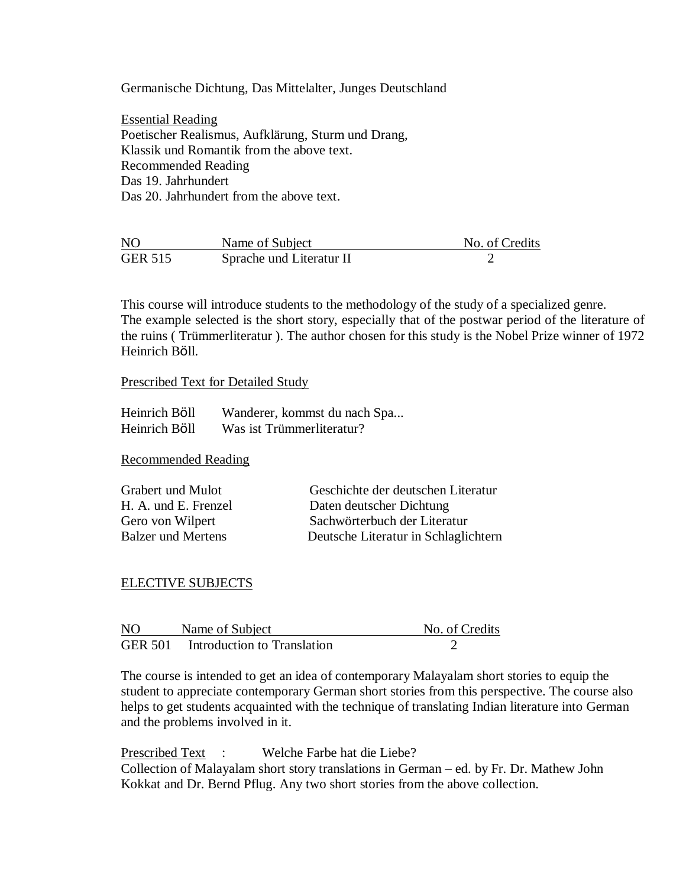Germanische Dichtung, Das Mittelalter, Junges Deutschland

Essential Reading Poetischer Realismus, Aufklärung, Sturm und Drang, Klassik und Romantik from the above text. Recommended Reading Das 19. Jahrhundert Das 20. Jahrhundert from the above text.

| N <sub>O</sub> | Name of Subject          | No. of Credits |
|----------------|--------------------------|----------------|
| <b>GER 515</b> | Sprache und Literatur II |                |

This course will introduce students to the methodology of the study of a specialized genre. The example selected is the short story, especially that of the postwar period of the literature of the ruins ( Trümmerliteratur ). The author chosen for this study is the Nobel Prize winner of 1972 Heinrich Bӧll.

Prescribed Text for Detailed Study

| Heinrich Böll | Wanderer, kommst du nach Spa |
|---------------|------------------------------|
| Heinrich Böll | Was ist Trümmerliteratur?    |

Recommended Reading

| Grabert und Mulot         | Geschichte der deutschen Literatur   |
|---------------------------|--------------------------------------|
| H. A. und E. Frenzel      | Daten deutscher Dichtung             |
| Gero von Wilpert          | Sachwörterbuch der Literatur         |
| <b>Balzer und Mertens</b> | Deutsche Literatur in Schlaglichtern |

## ELECTIVE SUBJECTS

| N <sub>O</sub> | Name of Subject                     | No. of Credits |
|----------------|-------------------------------------|----------------|
|                | GER 501 Introduction to Translation |                |

The course is intended to get an idea of contemporary Malayalam short stories to equip the student to appreciate contemporary German short stories from this perspective. The course also helps to get students acquainted with the technique of translating Indian literature into German and the problems involved in it.

Prescribed Text : Welche Farbe hat die Liebe? Collection of Malayalam short story translations in German – ed. by Fr. Dr. Mathew John Kokkat and Dr. Bernd Pflug. Any two short stories from the above collection.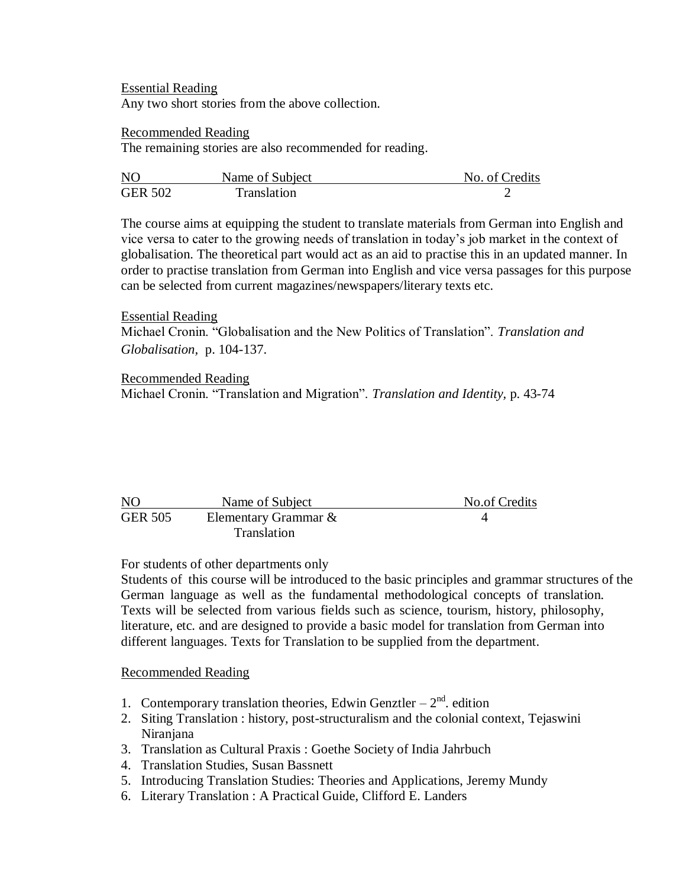Essential Reading Any two short stories from the above collection.

### Recommended Reading

The remaining stories are also recommended for reading.

| N()            | Name of Subject | No. of Credits |
|----------------|-----------------|----------------|
| <b>GER 502</b> | Translation     |                |

The course aims at equipping the student to translate materials from German into English and vice versa to cater to the growing needs of translation in today"s job market in the context of globalisation. The theoretical part would act as an aid to practise this in an updated manner. In order to practise translation from German into English and vice versa passages for this purpose can be selected from current magazines/newspapers/literary texts etc.

# Essential Reading

Michael Cronin. "Globalisation and the New Politics of Translation". *Translation and Globalisation,* p. 104-137.

## Recommended Reading

Michael Cronin. "Translation and Migration". *Translation and Identity,* p. 43-74

| N <sub>O</sub> | Name of Subject      | No.of Credits |
|----------------|----------------------|---------------|
| <b>GER 505</b> | Elementary Grammar & |               |
|                | Translation          |               |

# For students of other departments only

Students of this course will be introduced to the basic principles and grammar structures of the German language as well as the fundamental methodological concepts of translation. Texts will be selected from various fields such as science, tourism, history, philosophy, literature, etc. and are designed to provide a basic model for translation from German into different languages. Texts for Translation to be supplied from the department.

## Recommended Reading

- 1. Contemporary translation theories, Edwin Genztler  $-2<sup>nd</sup>$ . edition
- 2. Siting Translation : history, post-structuralism and the colonial context, Tejaswini Niranjana
- 3. Translation as Cultural Praxis : Goethe Society of India Jahrbuch
- 4. Translation Studies, Susan Bassnett
- 5. Introducing Translation Studies: Theories and Applications, Jeremy Mundy
- 6. Literary Translation : A Practical Guide, Clifford E. Landers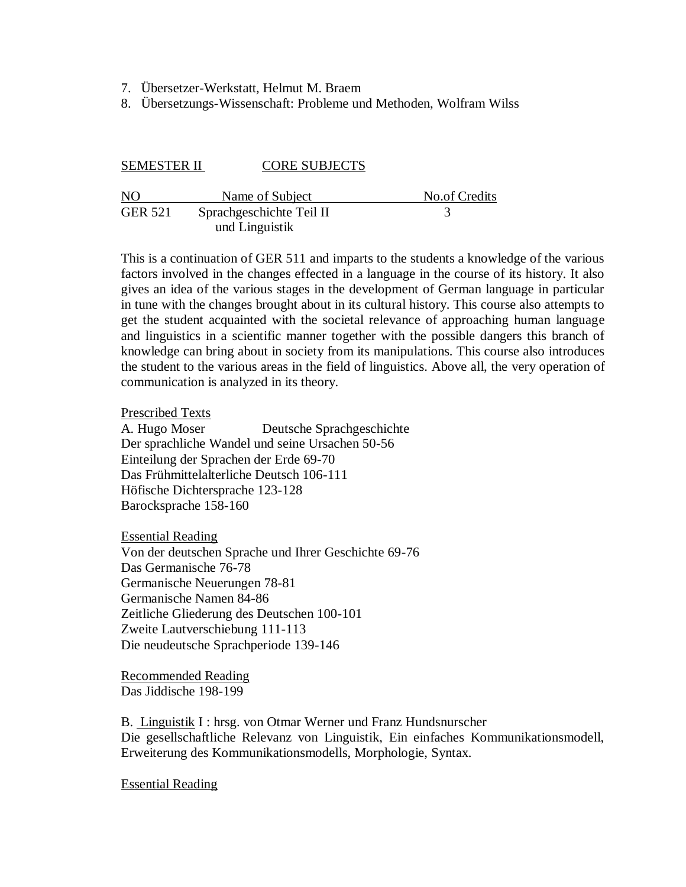- 7. Übersetzer-Werkstatt, Helmut M. Braem
- 8. Übersetzungs-Wissenschaft: Probleme und Methoden, Wolfram Wilss

#### SEMESTER II CORE SUBJECTS

| NO             | Name of Subject          | No.of Credits |
|----------------|--------------------------|---------------|
| <b>GER 521</b> | Sprachgeschichte Teil II |               |
|                | und Linguistik           |               |

This is a continuation of GER 511 and imparts to the students a knowledge of the various factors involved in the changes effected in a language in the course of its history. It also gives an idea of the various stages in the development of German language in particular in tune with the changes brought about in its cultural history. This course also attempts to get the student acquainted with the societal relevance of approaching human language and linguistics in a scientific manner together with the possible dangers this branch of knowledge can bring about in society from its manipulations. This course also introduces the student to the various areas in the field of linguistics. Above all, the very operation of communication is analyzed in its theory.

#### Prescribed Texts

A. Hugo Moser Deutsche Sprachgeschichte Der sprachliche Wandel und seine Ursachen 50-56 Einteilung der Sprachen der Erde 69-70 Das Frühmittelalterliche Deutsch 106-111 Höfische Dichtersprache 123-128 Barocksprache 158-160

Essential Reading Von der deutschen Sprache und Ihrer Geschichte 69-76 Das Germanische 76-78 Germanische Neuerungen 78-81 Germanische Namen 84-86 Zeitliche Gliederung des Deutschen 100-101 Zweite Lautverschiebung 111-113 Die neudeutsche Sprachperiode 139-146

Recommended Reading Das Jiddische 198-199

B. Linguistik I : hrsg. von Otmar Werner und Franz Hundsnurscher Die gesellschaftliche Relevanz von Linguistik, Ein einfaches Kommunikationsmodell, Erweiterung des Kommunikationsmodells, Morphologie, Syntax.

Essential Reading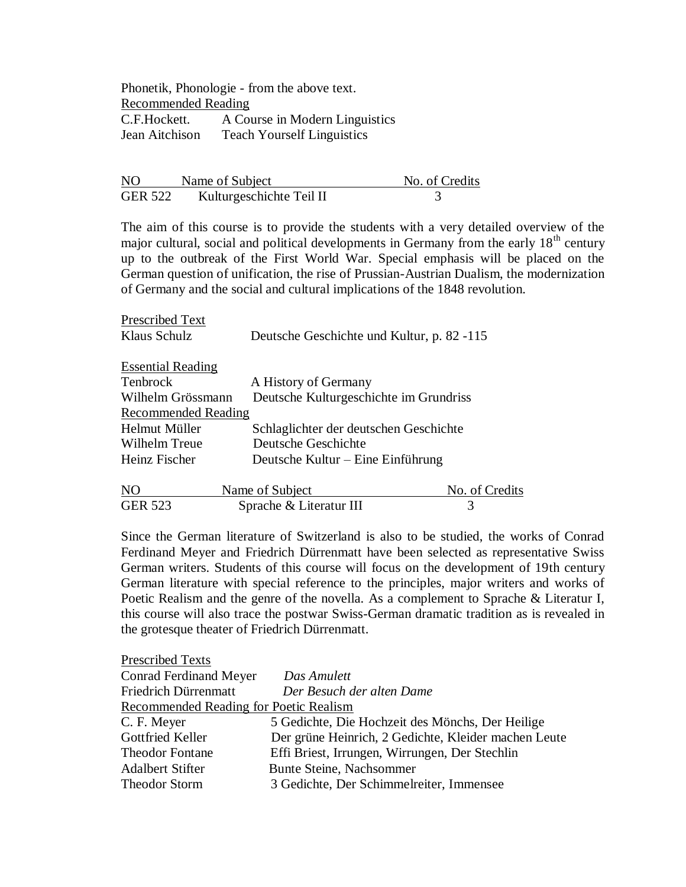Phonetik, Phonologie - from the above text. Recommended Reading C.F.Hockett. A Course in Modern Linguistics Jean Aitchison Teach Yourself Linguistics

| NO      | Name of Subject          | No. of Credits |
|---------|--------------------------|----------------|
| GER 522 | Kulturgeschichte Teil II |                |

The aim of this course is to provide the students with a very detailed overview of the major cultural, social and political developments in Germany from the early  $18<sup>th</sup>$  century up to the outbreak of the First World War. Special emphasis will be placed on the German question of unification, the rise of Prussian-Austrian Dualism, the modernization of Germany and the social and cultural implications of the 1848 revolution.

| Prescribed Text            |                                            |
|----------------------------|--------------------------------------------|
| Klaus Schulz               | Deutsche Geschichte und Kultur, p. 82 -115 |
| <b>Essential Reading</b>   |                                            |
| Tenbrock                   | A History of Germany                       |
| Wilhelm Grössmann          | Deutsche Kulturgeschichte im Grundriss     |
| <b>Recommended Reading</b> |                                            |
| Helmut Müller              | Schlaglichter der deutschen Geschichte     |
| Wilhelm Treue              | Deutsche Geschichte                        |
| Heinz Fischer              | Deutsche Kultur – Eine Einführung          |
|                            |                                            |

| NO             | Name of Subject         | No. of Credits |
|----------------|-------------------------|----------------|
| <b>GER 523</b> | Sprache & Literatur III |                |

Since the German literature of Switzerland is also to be studied, the works of Conrad Ferdinand Meyer and Friedrich Dürrenmatt have been selected as representative Swiss German writers. Students of this course will focus on the development of 19th century German literature with special reference to the principles, major writers and works of Poetic Realism and the genre of the novella. As a complement to Sprache & Literatur I, this course will also trace the postwar Swiss-German dramatic tradition as is revealed in the grotesque theater of Friedrich Dürrenmatt.

| <b>Prescribed Texts</b>                |                                                      |
|----------------------------------------|------------------------------------------------------|
| <b>Conrad Ferdinand Meyer</b>          | Das Amulett                                          |
| Friedrich Dürrenmatt                   | Der Besuch der alten Dame                            |
| Recommended Reading for Poetic Realism |                                                      |
| C. F. Meyer                            | 5 Gedichte, Die Hochzeit des Mönchs, Der Heilige     |
| Gottfried Keller                       | Der grüne Heinrich, 2 Gedichte, Kleider machen Leute |
| <b>Theodor Fontane</b>                 | Effi Briest, Irrungen, Wirrungen, Der Stechlin       |
| <b>Adalbert Stifter</b>                | Bunte Steine, Nachsommer                             |
| <b>Theodor Storm</b>                   | 3 Gedichte, Der Schimmelreiter, Immensee             |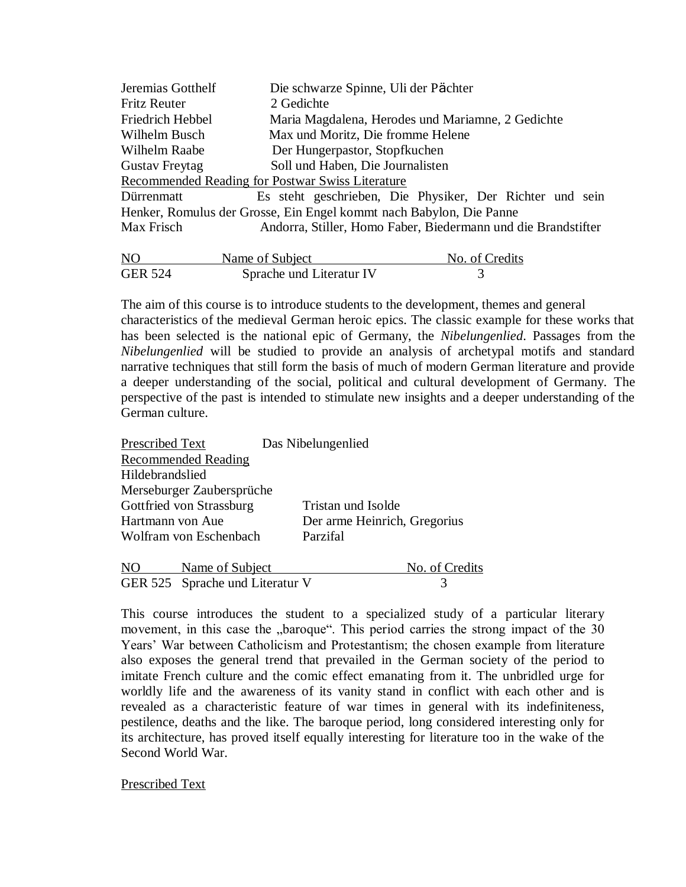| Jeremias Gotthelf                                | Die schwarze Spinne, Uli der Pächter                                |  |
|--------------------------------------------------|---------------------------------------------------------------------|--|
| <b>Fritz Reuter</b>                              | 2 Gedichte                                                          |  |
| Friedrich Hebbel                                 | Maria Magdalena, Herodes und Mariamne, 2 Gedichte                   |  |
| Wilhelm Busch                                    | Max und Moritz, Die fromme Helene                                   |  |
| Wilhelm Raabe                                    | Der Hungerpastor, Stopfkuchen                                       |  |
| <b>Gustav Freytag</b>                            | Soll und Haben, Die Journalisten                                    |  |
| Recommended Reading for Postwar Swiss Literature |                                                                     |  |
| Dürrenmatt                                       | Es steht geschrieben, Die Physiker, Der Richter und sein            |  |
|                                                  | Henker, Romulus der Grosse, Ein Engel kommt nach Babylon, Die Panne |  |
| Max Frisch                                       | Andorra, Stiller, Homo Faber, Biedermann und die Brandstifter       |  |
|                                                  |                                                                     |  |

| N <sub>O</sub> | Name of Subject          | No. of Credits |
|----------------|--------------------------|----------------|
| <b>GER 524</b> | Sprache und Literatur IV |                |

The aim of this course is to introduce students to the development, themes and general characteristics of the medieval German heroic epics. The classic example for these works that has been selected is the national epic of Germany, the *Nibelungenlied*. Passages from the *Nibelungenlied* will be studied to provide an analysis of archetypal motifs and standard narrative techniques that still form the basis of much of modern German literature and provide a deeper understanding of the social, political and cultural development of Germany. The perspective of the past is intended to stimulate new insights and a deeper understanding of the German culture.

| Prescribed Text            | Das Nibelungenlied           |
|----------------------------|------------------------------|
| <b>Recommended Reading</b> |                              |
| Hildebrandslied            |                              |
| Merseburger Zaubersprüche  |                              |
| Gottfried von Strassburg   | Tristan und Isolde           |
| Hartmann von Aue           | Der arme Heinrich, Gregorius |
| Wolfram von Eschenbach     | Parzifal                     |
| Name of Subject            | No. of Credits               |

GER 525 Sprache und Literatur V 3

This course introduces the student to a specialized study of a particular literary movement, in this case the "baroque". This period carries the strong impact of the 30 Years" War between Catholicism and Protestantism; the chosen example from literature also exposes the general trend that prevailed in the German society of the period to imitate French culture and the comic effect emanating from it. The unbridled urge for worldly life and the awareness of its vanity stand in conflict with each other and is revealed as a characteristic feature of war times in general with its indefiniteness, pestilence, deaths and the like. The baroque period, long considered interesting only for its architecture, has proved itself equally interesting for literature too in the wake of the Second World War.

Prescribed Text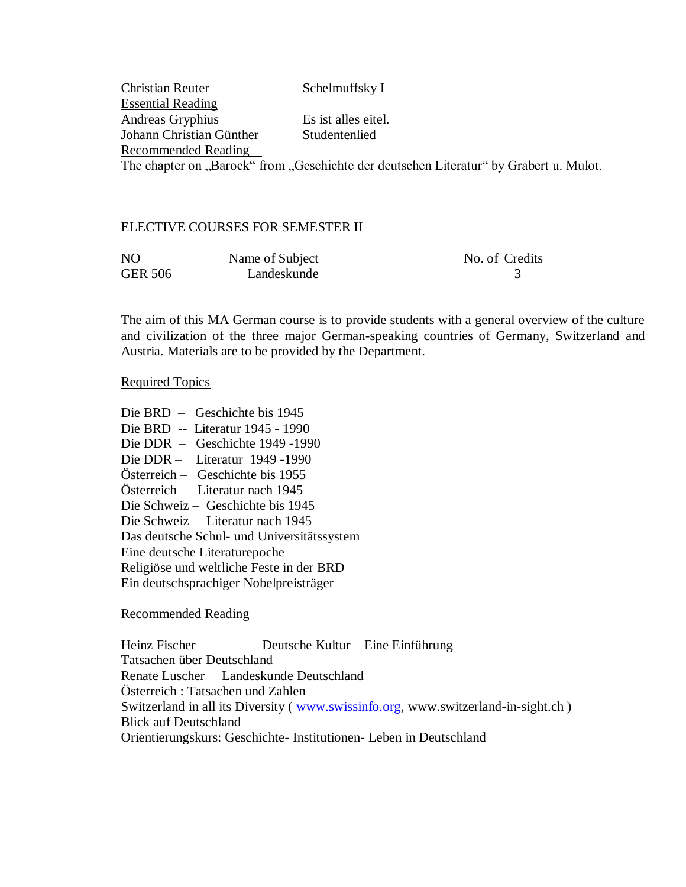| <b>Christian Reuter</b>  | Schelmuffsky I                                                                         |
|--------------------------|----------------------------------------------------------------------------------------|
| <b>Essential Reading</b> |                                                                                        |
| Andreas Gryphius         | Es ist alles eitel.                                                                    |
| Johann Christian Günther | Studentenlied                                                                          |
| Recommended Reading      |                                                                                        |
|                          | The chapter on "Barock" from "Geschichte der deutschen Literatur" by Grabert u. Mulot. |

# ELECTIVE COURSES FOR SEMESTER II

| N <sub>O</sub> | Name of Subject | No. of Credits |
|----------------|-----------------|----------------|
| <b>GER 506</b> | Landeskunde     |                |

The aim of this MA German course is to provide students with a general overview of the culture and civilization of the three major German-speaking countries of Germany, Switzerland and Austria. Materials are to be provided by the Department.

## Required Topics

Die BRD – Geschichte bis 1945 Die BRD -- Literatur 1945 - 1990 Die DDR – Geschichte 1949 -1990 Die DDR – Literatur 1949 -1990 Österreich – Geschichte bis 1955 Österreich – Literatur nach 1945 Die Schweiz – Geschichte bis 1945 Die Schweiz – Literatur nach 1945 Das deutsche Schul- und Universitätssystem Eine deutsche Literaturepoche Religiöse und weltliche Feste in der BRD Ein deutschsprachiger Nobelpreisträger

## Recommended Reading

Heinz Fischer Deutsche Kultur – Eine Einführung Tatsachen über Deutschland Renate Luscher Landeskunde Deutschland Österreich : Tatsachen und Zahlen Switzerland in all its Diversity (*www.swissinfo.org*, www.switzerland-in-sight.ch) Blick auf Deutschland Orientierungskurs: Geschichte- Institutionen- Leben in Deutschland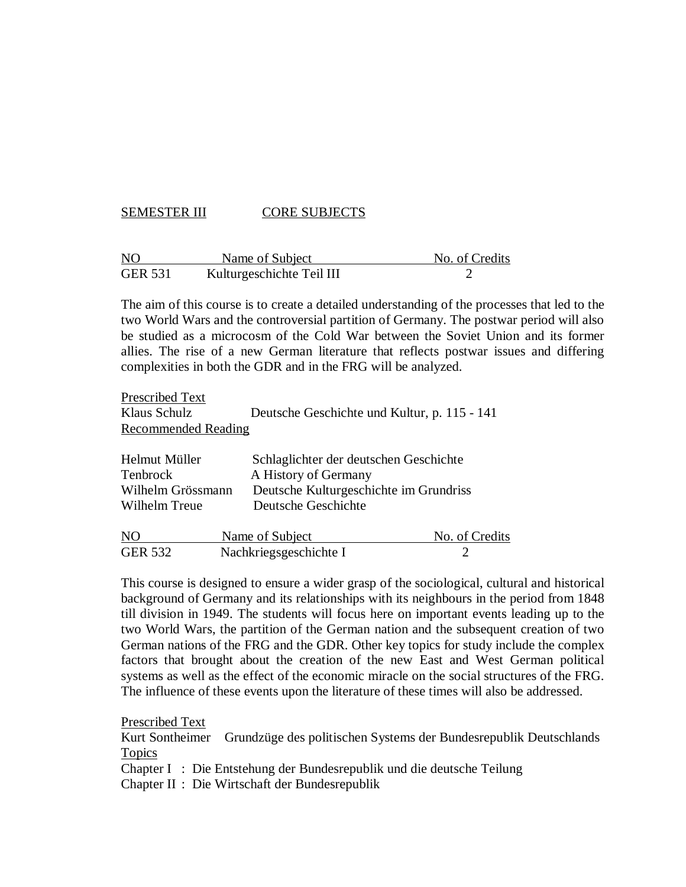# SEMESTER III CORE SUBJECTS

| N <sub>O</sub> | Name of Subject           | No. of Credits |
|----------------|---------------------------|----------------|
| <b>GER 531</b> | Kulturgeschichte Teil III |                |

The aim of this course is to create a detailed understanding of the processes that led to the two World Wars and the controversial partition of Germany. The postwar period will also be studied as a microcosm of the Cold War between the Soviet Union and its former allies. The rise of a new German literature that reflects postwar issues and differing complexities in both the GDR and in the FRG will be analyzed.

| Prescribed Text            |                                              |                |
|----------------------------|----------------------------------------------|----------------|
| Klaus Schulz               | Deutsche Geschichte und Kultur, p. 115 - 141 |                |
| <b>Recommended Reading</b> |                                              |                |
| Helmut Müller              | Schlaglichter der deutschen Geschichte       |                |
| <b>Tenbrock</b>            | A History of Germany                         |                |
| Wilhelm Grössmann          | Deutsche Kulturgeschichte im Grundriss       |                |
| Wilhelm Treue              | Deutsche Geschichte                          |                |
| NO                         | Name of Subject                              | No. of Credits |

GER 532 Nachkriegsgeschichte I 2

This course is designed to ensure a wider grasp of the sociological, cultural and historical background of Germany and its relationships with its neighbours in the period from 1848 till division in 1949. The students will focus here on important events leading up to the two World Wars, the partition of the German nation and the subsequent creation of two German nations of the FRG and the GDR. Other key topics for study include the complex factors that brought about the creation of the new East and West German political systems as well as the effect of the economic miracle on the social structures of the FRG. The influence of these events upon the literature of these times will also be addressed.

Prescribed Text

Kurt Sontheimer Grundzüge des politischen Systems der Bundesrepublik Deutschlands Topics

Chapter I : Die Entstehung der Bundesrepublik und die deutsche Teilung

Chapter II : Die Wirtschaft der Bundesrepublik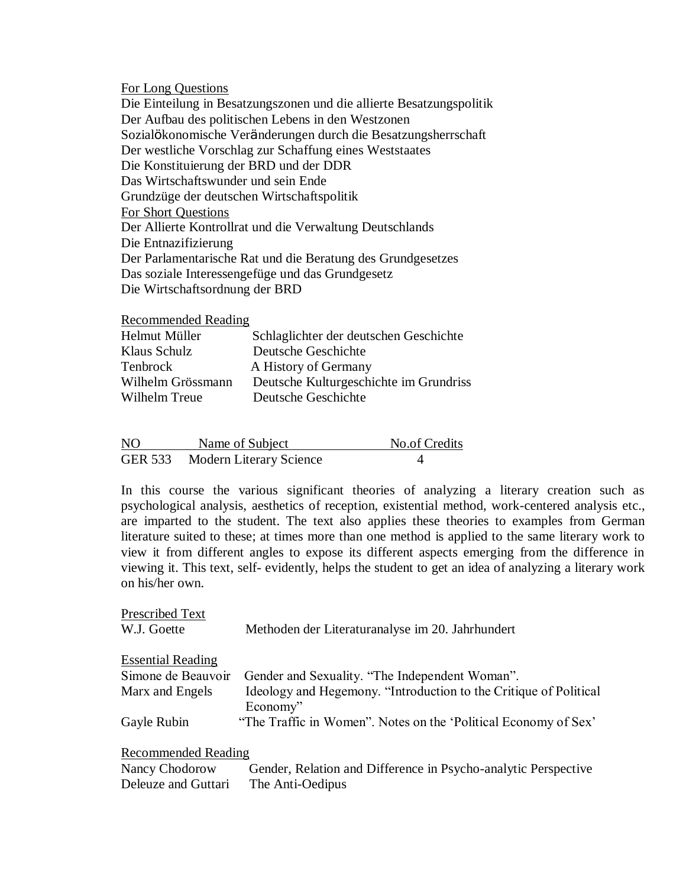For Long Questions

Die Einteilung in Besatzungszonen und die allierte Besatzungspolitik Der Aufbau des politischen Lebens in den Westzonen Sozialökonomische Veränderungen durch die Besatzungsherrschaft Der westliche Vorschlag zur Schaffung eines Weststaates Die Konstituierung der BRD und der DDR Das Wirtschaftswunder und sein Ende Grundzüge der deutschen Wirtschaftspolitik For Short Questions Der Allierte Kontrollrat und die Verwaltung Deutschlands Die Entnazifizierung Der Parlamentarische Rat und die Beratung des Grundgesetzes Das soziale Interessengefüge und das Grundgesetz Die Wirtschaftsordnung der BRD

Recommended Reading

| Helmut Müller     | Schlaglichter der deutschen Geschichte |
|-------------------|----------------------------------------|
| Klaus Schulz      | Deutsche Geschichte                    |
| Tenbrock          | A History of Germany                   |
| Wilhelm Grössmann | Deutsche Kulturgeschichte im Grundriss |
| Wilhelm Treue     | Deutsche Geschichte                    |

| N <sub>O</sub> | Name of Subject                 | <b>No.of Credits</b> |
|----------------|---------------------------------|----------------------|
|                | GER 533 Modern Literary Science |                      |

In this course the various significant theories of analyzing a literary creation such as psychological analysis, aesthetics of reception, existential method, work-centered analysis etc., are imparted to the student. The text also applies these theories to examples from German literature suited to these; at times more than one method is applied to the same literary work to view it from different angles to expose its different aspects emerging from the difference in viewing it. This text, self- evidently, helps the student to get an idea of analyzing a literary work on his/her own.

| Prescribed Text          |                                                                               |
|--------------------------|-------------------------------------------------------------------------------|
| W.J. Goette              | Methoden der Literaturanalyse im 20. Jahrhundert                              |
| <b>Essential Reading</b> |                                                                               |
| Simone de Beauvoir       | Gender and Sexuality. "The Independent Woman".                                |
| Marx and Engels          | Ideology and Hegemony. "Introduction to the Critique of Political<br>Economy" |
| Gayle Rubin              | "The Traffic in Women". Notes on the 'Political Economy of Sex'               |
| Recommended Reading      |                                                                               |
| Nancy Chodorow           | Gender, Relation and Difference in Psycho-analytic Perspective                |
| Deleuze and Guttari      | The Anti-Oedipus                                                              |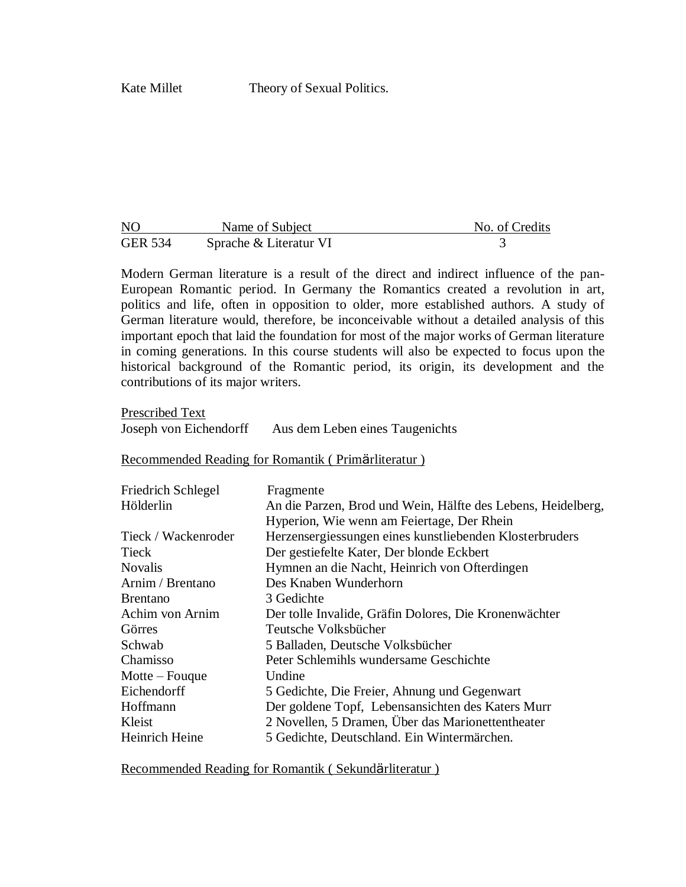| N <sub>O</sub> | Name of Subject        | No. of Credits |
|----------------|------------------------|----------------|
| <b>GER 534</b> | Sprache & Literatur VI |                |

Modern German literature is a result of the direct and indirect influence of the pan-European Romantic period. In Germany the Romantics created a revolution in art, politics and life, often in opposition to older, more established authors. A study of German literature would, therefore, be inconceivable without a detailed analysis of this important epoch that laid the foundation for most of the major works of German literature in coming generations. In this course students will also be expected to focus upon the historical background of the Romantic period, its origin, its development and the contributions of its major writers.

Prescribed Text Joseph von Eichendorff Aus dem Leben eines Taugenichts

#### Recommended Reading for Romantik ( Primӓrliteratur )

| <b>Friedrich Schlegel</b> | Fragmente                                                    |
|---------------------------|--------------------------------------------------------------|
| Hölderlin                 | An die Parzen, Brod und Wein, Hälfte des Lebens, Heidelberg, |
|                           | Hyperion, Wie wenn am Feiertage, Der Rhein                   |
| Tieck / Wackenroder       | Herzensergiessungen eines kunstliebenden Klosterbruders      |
| Tieck                     | Der gestiefelte Kater, Der blonde Eckbert                    |
| <b>Novalis</b>            | Hymnen an die Nacht, Heinrich von Ofterdingen                |
| Arnim / Brentano          | Des Knaben Wunderhorn                                        |
| <b>B</b> rentano          | 3 Gedichte                                                   |
| Achim von Arnim           | Der tolle Invalide, Gräfin Dolores, Die Kronenwächter        |
| Görres                    | Teutsche Volksbücher                                         |
| Schwab                    | 5 Balladen, Deutsche Volksbücher                             |
| Chamisso                  | Peter Schlemihls wundersame Geschichte                       |
| Motte $-$ Fouque          | Undine                                                       |
| Eichendorff               | 5 Gedichte, Die Freier, Ahnung und Gegenwart                 |
| Hoffmann                  | Der goldene Topf, Lebensansichten des Katers Murr            |
| Kleist                    | 2 Novellen, 5 Dramen, Über das Marionettentheater            |
| Heinrich Heine            | 5 Gedichte, Deutschland. Ein Wintermärchen.                  |

Recommended Reading for Romantik ( Sekundärliteratur )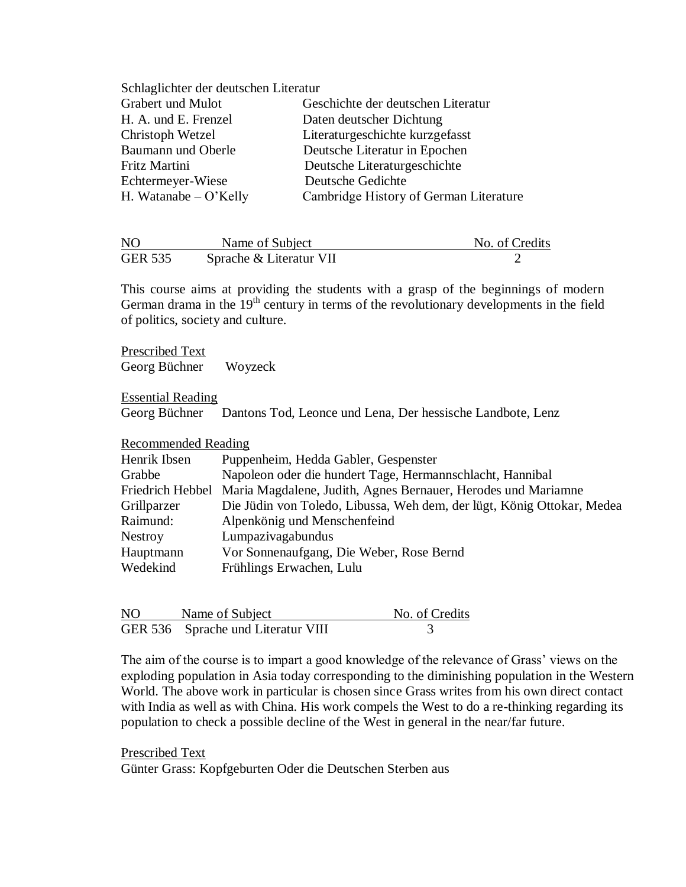| Schlaglichter der deutschen Literatur |                                        |  |  |
|---------------------------------------|----------------------------------------|--|--|
| Grabert und Mulot                     | Geschichte der deutschen Literatur     |  |  |
| H. A. und E. Frenzel                  | Daten deutscher Dichtung               |  |  |
| Christoph Wetzel                      | Literaturgeschichte kurzgefasst        |  |  |
| Baumann und Oberle                    | Deutsche Literatur in Epochen          |  |  |
| Fritz Martini                         | Deutsche Literaturgeschichte           |  |  |
| Echtermeyer-Wiese                     | Deutsche Gedichte                      |  |  |
| H. Watanabe $-$ O'Kelly               | Cambridge History of German Literature |  |  |

| NO             | Name of Subject         | No. of Credits |
|----------------|-------------------------|----------------|
| <b>GER 535</b> | Sprache & Literatur VII |                |

This course aims at providing the students with a grasp of the beginnings of modern German drama in the 19<sup>th</sup> century in terms of the revolutionary developments in the field of politics, society and culture.

Prescribed Text Georg Büchner Woyzeck

Essential Reading

Georg Büchner Dantons Tod, Leonce und Lena, Der hessische Landbote, Lenz

Recommended Reading

| Henrik Ibsen     | Puppenheim, Hedda Gabler, Gespenster                                   |
|------------------|------------------------------------------------------------------------|
| Grabbe           | Napoleon oder die hundert Tage, Hermannschlacht, Hannibal              |
| Friedrich Hebbel | Maria Magdalene, Judith, Agnes Bernauer, Herodes und Mariamne          |
| Grillparzer      | Die Jüdin von Toledo, Libussa, Weh dem, der lügt, König Ottokar, Medea |
| Raimund:         | Alpenkönig und Menschenfeind                                           |
| <b>Nestroy</b>   | Lumpazivagabundus                                                      |
| Hauptmann        | Vor Sonnenaufgang, Die Weber, Rose Bernd                               |
| Wedekind         | Frühlings Erwachen, Lulu                                               |

| N <sub>O</sub> | Name of Subject                    | No. of Credits |
|----------------|------------------------------------|----------------|
|                | GER 536 Sprache und Literatur VIII |                |

The aim of the course is to impart a good knowledge of the relevance of Grass' views on the exploding population in Asia today corresponding to the diminishing population in the Western World. The above work in particular is chosen since Grass writes from his own direct contact with India as well as with China. His work compels the West to do a re-thinking regarding its population to check a possible decline of the West in general in the near/far future.

Prescribed Text

Günter Grass: Kopfgeburten Oder die Deutschen Sterben aus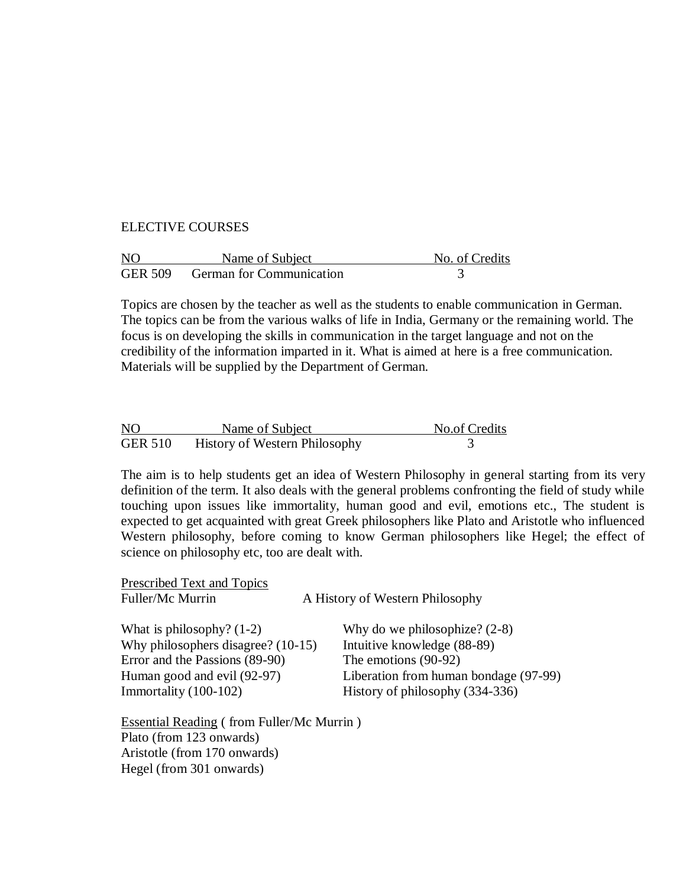## ELECTIVE COURSES

| NO | Name of Subject                  | No. of Credits |
|----|----------------------------------|----------------|
|    | GER 509 German for Communication |                |

Topics are chosen by the teacher as well as the students to enable communication in German. The topics can be from the various walks of life in India, Germany or the remaining world. The focus is on developing the skills in communication in the target language and not on the credibility of the information imparted in it. What is aimed at here is a free communication. Materials will be supplied by the Department of German.

| N <sub>O</sub> | Name of Subject                      | No.of Credits |
|----------------|--------------------------------------|---------------|
| <b>GER 510</b> | <b>History of Western Philosophy</b> |               |

The aim is to help students get an idea of Western Philosophy in general starting from its very definition of the term. It also deals with the general problems confronting the field of study while touching upon issues like immortality, human good and evil, emotions etc., The student is expected to get acquainted with great Greek philosophers like Plato and Aristotle who influenced Western philosophy, before coming to know German philosophers like Hegel; the effect of science on philosophy etc, too are dealt with.

| <b>Prescribed Text and Topics</b>                |  |                                       |
|--------------------------------------------------|--|---------------------------------------|
| Fuller/Mc Murrin                                 |  | A History of Western Philosophy       |
| What is philosophy? $(1-2)$                      |  | Why do we philosophize? $(2-8)$       |
| Why philosophers disagree? $(10-15)$             |  | Intuitive knowledge (88-89)           |
| Error and the Passions (89-90)                   |  | The emotions (90-92)                  |
| Human good and evil (92-97)                      |  | Liberation from human bondage (97-99) |
| Immortality (100-102)                            |  | History of philosophy (334-336)       |
|                                                  |  |                                       |
| <b>Essential Reading (from Fuller/Mc Murrin)</b> |  |                                       |

Plato (from 123 onwards) Aristotle (from 170 onwards) Hegel (from 301 onwards)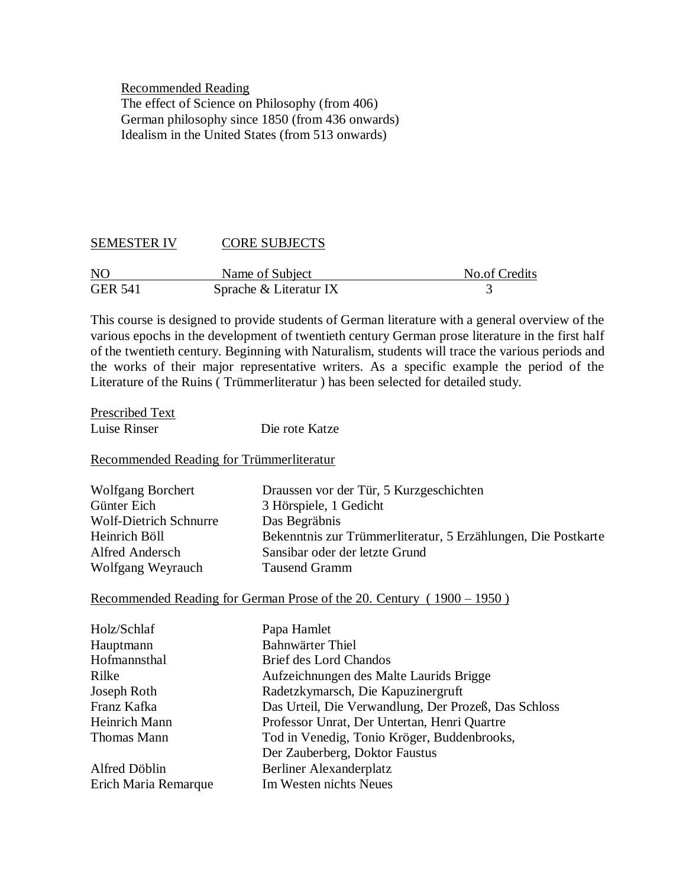Recommended Reading The effect of Science on Philosophy (from 406) German philosophy since 1850 (from 436 onwards) Idealism in the United States (from 513 onwards)

# SEMESTER IV CORE SUBJECTS

| N <sub>O</sub> | Name of Subject        | No.of Credits |
|----------------|------------------------|---------------|
| <b>GER 541</b> | Sprache & Literatur IX |               |

This course is designed to provide students of German literature with a general overview of the various epochs in the development of twentieth century German prose literature in the first half of the twentieth century. Beginning with Naturalism, students will trace the various periods and the works of their major representative writers. As a specific example the period of the Literature of the Ruins ( Trümmerliteratur ) has been selected for detailed study.

| Prescribed Text |                |
|-----------------|----------------|
| Luise Rinser    | Die rote Katze |

Recommended Reading for Trümmerliteratur

| Draussen vor der Tür, 5 Kurzgeschichten                       |
|---------------------------------------------------------------|
| 3 Hörspiele, 1 Gedicht                                        |
| Das Begräbnis                                                 |
| Bekenntnis zur Trümmerliteratur, 5 Erzählungen, Die Postkarte |
| Sansibar oder der letzte Grund                                |
| <b>Tausend Gramm</b>                                          |
|                                                               |

#### Recommended Reading for German Prose of the 20. Century ( 1900 – 1950 )

| Holz/Schlaf          | Papa Hamlet                                          |
|----------------------|------------------------------------------------------|
|                      |                                                      |
| Hauptmann            | <b>Bahnwärter Thiel</b>                              |
| Hofmannsthal         | Brief des Lord Chandos                               |
| Rilke                | Aufzeichnungen des Malte Laurids Brigge              |
| Joseph Roth          | Radetzkymarsch, Die Kapuzinergruft                   |
| Franz Kafka          | Das Urteil, Die Verwandlung, Der Prozeß, Das Schloss |
| Heinrich Mann        | Professor Unrat, Der Untertan, Henri Quartre         |
| Thomas Mann          | Tod in Venedig, Tonio Kröger, Buddenbrooks,          |
|                      | Der Zauberberg, Doktor Faustus                       |
| Alfred Döblin        | Berliner Alexanderplatz                              |
| Erich Maria Remarque | Im Westen nichts Neues                               |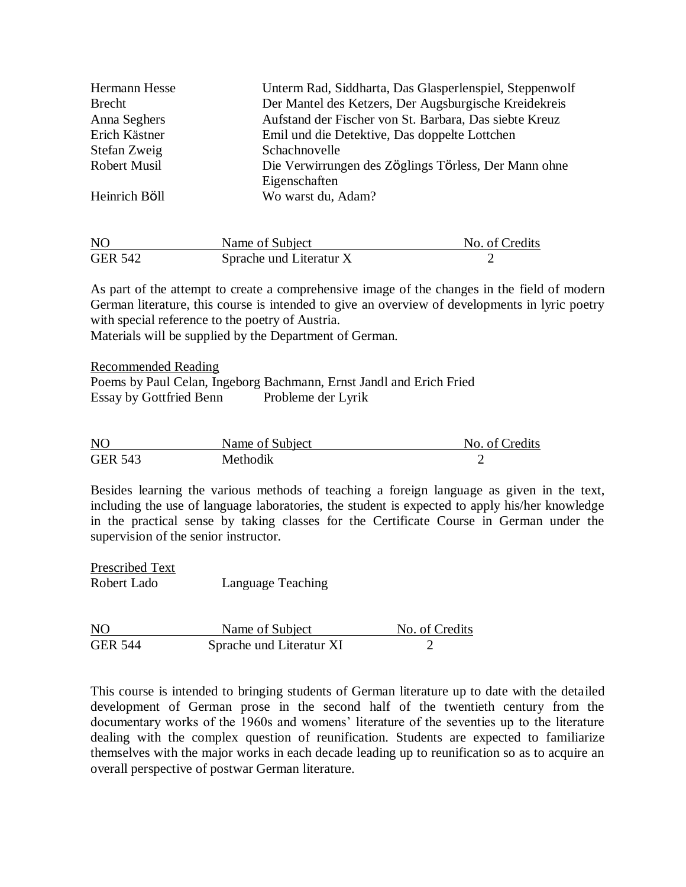| Hermann Hesse       | Unterm Rad, Siddharta, Das Glasperlenspiel, Steppenwolf |
|---------------------|---------------------------------------------------------|
| <b>Brecht</b>       | Der Mantel des Ketzers, Der Augsburgische Kreidekreis   |
| Anna Seghers        | Aufstand der Fischer von St. Barbara, Das siebte Kreuz  |
| Erich Kästner       | Emil und die Detektive, Das doppelte Lottchen           |
| Stefan Zweig        | Schachnovelle                                           |
| <b>Robert Musil</b> | Die Verwirrungen des Zöglings Törless, Der Mann ohne    |
|                     | Eigenschaften                                           |
| Heinrich Böll       | Wo warst du, Adam?                                      |
|                     |                                                         |

| N <sub>O</sub> | Name of Subject         | No. of Credits |
|----------------|-------------------------|----------------|
| <b>GER 542</b> | Sprache und Literatur X |                |

As part of the attempt to create a comprehensive image of the changes in the field of modern German literature, this course is intended to give an overview of developments in lyric poetry with special reference to the poetry of Austria.

Materials will be supplied by the Department of German.

Recommended Reading

Poems by Paul Celan, Ingeborg Bachmann, Ernst Jandl and Erich Fried Essay by Gottfried Benn Probleme der Lyrik

| N <sub>O</sub> | Name of Subject | No. of Credits |
|----------------|-----------------|----------------|
| <b>GER 543</b> | Methodik        |                |

Besides learning the various methods of teaching a foreign language as given in the text, including the use of language laboratories, the student is expected to apply his/her knowledge in the practical sense by taking classes for the Certificate Course in German under the supervision of the senior instructor.

Prescribed Text Robert Lado Language Teaching

NO Name of Subject No. of Credits GER 544 Sprache und Literatur XI

This course is intended to bringing students of German literature up to date with the detailed development of German prose in the second half of the twentieth century from the documentary works of the 1960s and womens' literature of the seventies up to the literature dealing with the complex question of reunification. Students are expected to familiarize themselves with the major works in each decade leading up to reunification so as to acquire an overall perspective of postwar German literature.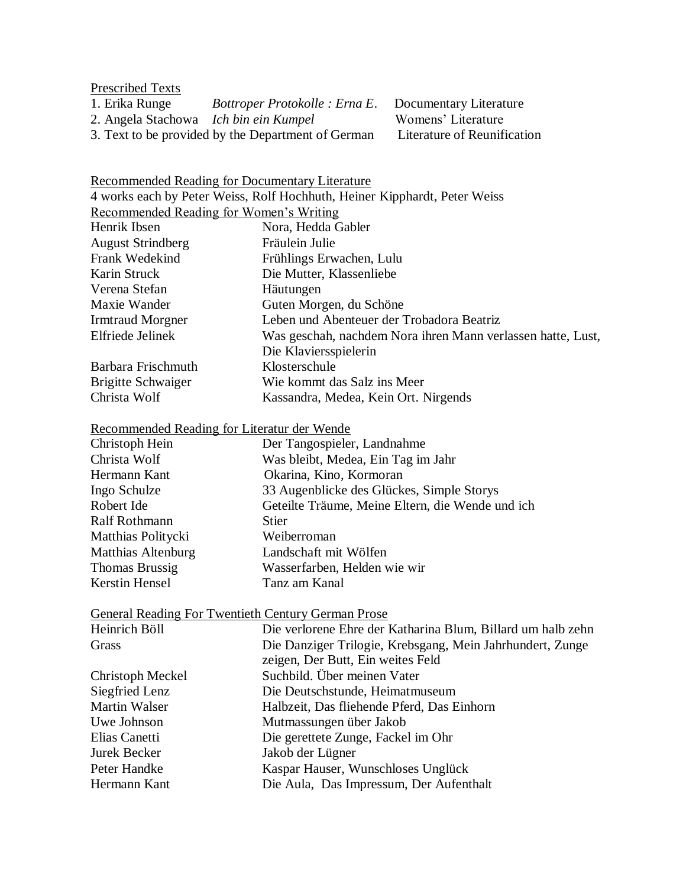# Prescribed Texts<br>1. Erika Runge

- 
- 2. Angela Stachowa *Ich bin ein Kumpel*

3. Text to be provided by the Department of German Literature of Reunification

1. Bottroper Protokolle : Erna E. Documentary Literature<br> *Ich bin ein Kumpel* Womens' Literature

Recommended Reading for Documentary Literature

4 works each by Peter Weiss, Rolf Hochhuth, Heiner Kipphardt, Peter Weiss Recommended Reading for Women"s Writing

| recommended reading for women 5 writing |                                                             |
|-----------------------------------------|-------------------------------------------------------------|
| Henrik Ibsen                            | Nora, Hedda Gabler                                          |
| <b>August Strindberg</b>                | Fräulein Julie                                              |
| Frank Wedekind                          | Frühlings Erwachen, Lulu                                    |
| Karin Struck                            | Die Mutter, Klassenliebe                                    |
| Verena Stefan                           | Häutungen                                                   |
| Maxie Wander                            | Guten Morgen, du Schöne                                     |
| <b>Irmtraud Morgner</b>                 | Leben und Abenteuer der Trobadora Beatriz                   |
| Elfriede Jelinek                        | Was geschah, nachdem Nora ihren Mann verlassen hatte, Lust, |
|                                         | Die Klaviersspielerin                                       |
| Barbara Frischmuth                      | Klosterschule                                               |
| <b>Brigitte Schwaiger</b>               | Wie kommt das Salz ins Meer                                 |
| Christa Wolf                            | Kassandra, Medea, Kein Ort. Nirgends                        |

# Recommended Reading for Literatur der Wende

| Christoph Hein        | Der Tangospieler, Landnahme                      |
|-----------------------|--------------------------------------------------|
| Christa Wolf          | Was bleibt, Medea, Ein Tag im Jahr               |
| Hermann Kant          | Okarina, Kino, Kormoran                          |
| Ingo Schulze          | 33 Augenblicke des Glückes, Simple Storys        |
| Robert Ide            | Geteilte Träume, Meine Eltern, die Wende und ich |
| <b>Ralf Rothmann</b>  | <b>Stier</b>                                     |
| Matthias Politycki    | Weiberroman                                      |
| Matthias Altenburg    | Landschaft mit Wölfen                            |
| <b>Thomas Brussig</b> | Wasserfarben, Helden wie wir                     |
| <b>Kerstin Hensel</b> | Tanz am Kanal                                    |

| General Reading For Twentieth Century German Prose |  |
|----------------------------------------------------|--|
|                                                    |  |

| Heinrich Böll           | Die verlorene Ehre der Katharina Blum, Billard um halb zehn |
|-------------------------|-------------------------------------------------------------|
| Grass                   | Die Danziger Trilogie, Krebsgang, Mein Jahrhundert, Zunge   |
|                         | zeigen, Der Butt, Ein weites Feld                           |
| <b>Christoph Meckel</b> | Suchbild. Über meinen Vater                                 |
| Siegfried Lenz          | Die Deutschstunde, Heimatmuseum                             |
| <b>Martin Walser</b>    | Halbzeit, Das fliehende Pferd, Das Einhorn                  |
| Uwe Johnson             | Mutmassungen über Jakob                                     |
| Elias Canetti           | Die gerettete Zunge, Fackel im Ohr                          |
| Jurek Becker            | Jakob der Lügner                                            |
| Peter Handke            | Kaspar Hauser, Wunschloses Unglück                          |
| Hermann Kant            | Die Aula, Das Impressum, Der Aufenthalt                     |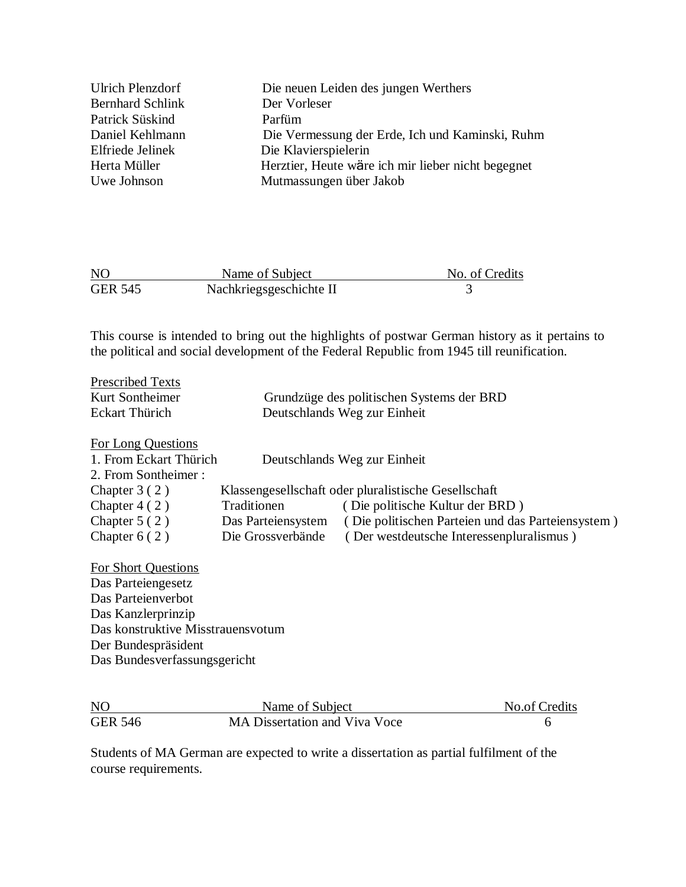| Ulrich Plenzdorf        | Die neuen Leiden des jungen Werthers               |
|-------------------------|----------------------------------------------------|
| <b>Bernhard Schlink</b> | Der Vorleser                                       |
| Patrick Süskind         | Parfüm                                             |
| Daniel Kehlmann         | Die Vermessung der Erde, Ich und Kaminski, Ruhm    |
| Elfriede Jelinek        | Die Klavierspielerin                               |
| Herta Müller            | Herztier, Heute wäre ich mir lieber nicht begegnet |
| Uwe Johnson             | Mutmassungen über Jakob                            |
|                         |                                                    |

| N <sub>O</sub> | Name of Subject         | No. of Credits |
|----------------|-------------------------|----------------|
| <b>GER 545</b> | Nachkriegsgeschichte II |                |

This course is intended to bring out the highlights of postwar German history as it pertains to the political and social development of the Federal Republic from 1945 till reunification.

| <b>Prescribed Texts</b>    |                                           |                                                      |  |  |
|----------------------------|-------------------------------------------|------------------------------------------------------|--|--|
| Kurt Sontheimer            | Grundzüge des politischen Systems der BRD |                                                      |  |  |
| <b>Eckart Thürich</b>      | Deutschlands Weg zur Einheit              |                                                      |  |  |
| For Long Questions         |                                           |                                                      |  |  |
| 1. From Eckart Thürich     |                                           | Deutschlands Weg zur Einheit                         |  |  |
| 2. From Sontheimer:        |                                           |                                                      |  |  |
| Chapter $3(2)$             |                                           | Klassengesellschaft oder pluralistische Gesellschaft |  |  |
| Chapter $4(2)$             | Traditionen                               | (Die politische Kultur der BRD)                      |  |  |
| Chapter $5(2)$             | Das Parteiensystem                        | (Die politischen Parteien und das Parteiensystem)    |  |  |
| Chapter $6(2)$             | Die Grossverbände                         | (Der westdeutsche Interessenpluralismus)             |  |  |
| <b>For Short Questions</b> |                                           |                                                      |  |  |
| Das Parteiengesetz         |                                           |                                                      |  |  |
| Das Parteienverbot         |                                           |                                                      |  |  |
| Das Kanzlerprinzip         |                                           |                                                      |  |  |

Das konstruktive Misstrauensvotum Der Bundespräsident Das Bundesverfassungsgericht

| <b>NO</b>      | Name of Subject               | No.of Credits |
|----------------|-------------------------------|---------------|
| <b>GER 546</b> | MA Dissertation and Viva Voce |               |

Students of MA German are expected to write a dissertation as partial fulfilment of the course requirements.